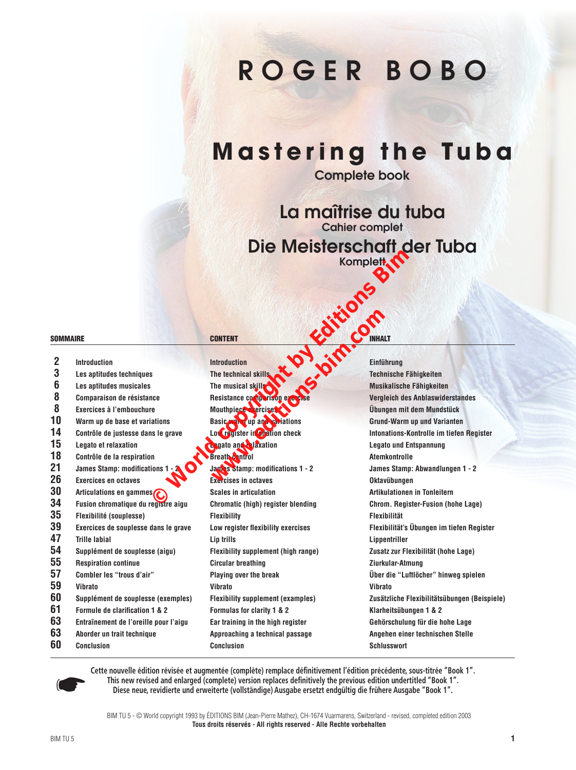# R O G E R B O B O

## **Mastering the Tuba**

Complete book

La maîtrise du tuba Cahier complet Die Meisterschaft der Tuba

|                     |                                                 | ואוואוסוסופואו אוט                          | NQI<br>Komplett.                             |
|---------------------|-------------------------------------------------|---------------------------------------------|----------------------------------------------|
| <b>SOMMAIRE</b>     |                                                 | Tripline can<br><b>CONTENT</b>              |                                              |
| $\overline{2}$<br>3 | <b>Introduction</b><br>Les aptitudes techniques | <b>Introduction</b><br>The technical skills | Einführung<br>Technische Fähigkeiten         |
| 6                   | Les aptitudes musicales                         | The musical skills                          | Musikalische Fähigkeiten                     |
| 8                   | Comparaison de résistance                       | Resistance comparison exercis               | Vergleich des Anblaswiderstandes             |
| 8                   | Exercices à l'embouchure                        | Mouthpiece exercises                        | Übungen mit dem Mundstück                    |
| 10                  | Warm up de base et variations                   | Basic <b>water</b> up and variations        | Grund-Warm up und Varianten                  |
| 14                  | Contrôle de justesse dans le grave              | Low register in <b>Continuent</b> check     | Intonations-Kontrolle im tiefen Register     |
| 15                  | Legato et relaxation                            | <b>Legato and Ca</b> xation                 | <b>Legato und Entspannung</b>                |
| 18                  | Contrôle de la respiration                      | <b>Breath Stanfol</b>                       | <b>Atemkontrolle</b>                         |
| 21                  | <b>James Stamp: modifications 1</b>             | James Stamp: modifications 1 - 2            | James Stamp: Abwandlungen 1 - 2              |
| 26                  | <b>Exercices en octaves</b>                     | <b>Exercises in octaves</b>                 | Oktavübungen                                 |
| 30                  | Articulations en gammes                         | <b>Scales in articulation</b>               | Artikulationen in Tonleitern                 |
| 34                  | Fusion chromatique du registre aigu             | Chromatic (high) register blending          | Chrom. Register-Fusion (hohe Lage)           |
| 35                  | Flexibilité (souplesse)                         | <b>Flexibility</b>                          | <b>Flexibilität</b>                          |
| 39                  | Exercices de souplesse dans le grave            | Low register flexibility exercises          | Flexibilität's Übungen im tiefen Register    |
| 47                  | <b>Trille labial</b>                            | Lip trills                                  | Lippentriller                                |
| 54                  | Supplément de souplesse (aigu)                  | <b>Flexibility supplement (high range)</b>  | Zusatz zur Flexibilität (hohe Lage)          |
| 55                  | <b>Respiration continue</b>                     | <b>Circular breathing</b>                   | Ziurkular-Atmung                             |
| 57                  | Combler les "trous d'air"                       | Playing over the break                      | Über die "Luftlöcher" hinweg spielen         |
| 59                  | <b>Vibrato</b>                                  | <b>Vibrato</b>                              | Vibrato                                      |
| 60                  | Supplément de souplesse (exemples)              | <b>Flexibility supplement (examples)</b>    | Zusätzliche Flexibilitätsübungen (Beispiele) |
| 61                  | Formule de clarification 1 & 2                  | Formulas for clarity 1 & 2                  | Klarheitsübungen 1 & 2                       |
| 63                  | Entraînement de l'oreille pour l'aigu           | Ear training in the high register           | Gehörschulung für die hohe Lage              |
| 63                  | Aborder un trait technique                      | Approaching a technical passage             | Angehen einer technischen Stelle             |
| 60                  | Conclusion                                      | <b>Conclusion</b>                           | <b>Schlusswort</b>                           |

**Cette nouvelle édition révisée et augmentée (complète) remplace définitivement l'édition précédente, sous-titrée "Book 1". This new revised and enlarged (complete) version replaces definitively the previous edition undertitled "Book 1". Diese neue, revidierte und erweiterte (vollständige) Ausgabe ersetzt endgültig die frühere Ausgabe "Book 1".**

BIM TU 5 - © World copyright 1993 by ÉDITIONS BIM (Jean-Pierre Mathez), CH-1674 Vuarmarens, Switzerland - revised, completed edition 2003 **Tous droits réservés - All rights reserved - Alle Rechte vorbehalten**

☛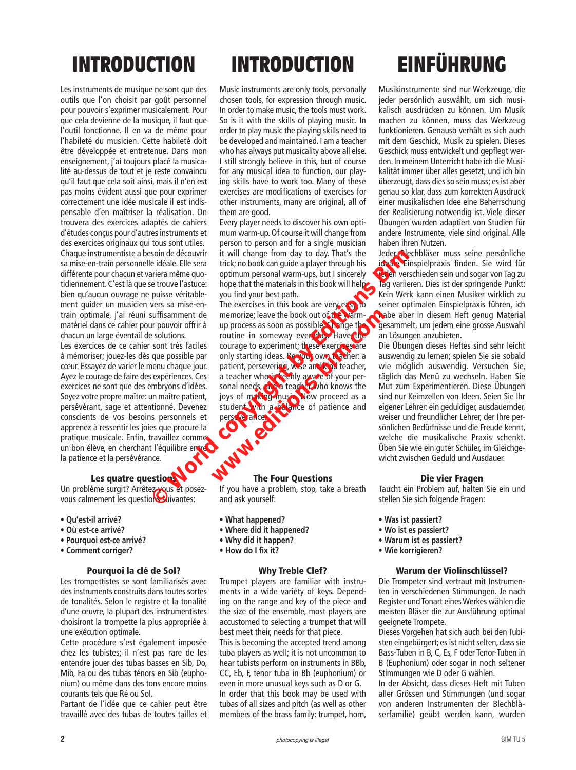### **INTRODUCTION**

Les instruments de musique ne sont que des outils que l'on choisit par goût personnel pour pouvoir s'exprimer musicalement. Pour que cela devienne de la musique, il faut que l'outil fonctionne. Il en va de même pour l'habileté du musicien. Cette habileté doit être développée et entretenue. Dans mon enseignement, j'ai toujours placé la musicalité au-dessus de tout et je reste convaincu qu'il faut que cela soit ainsi, mais il n'en est pas moins évident aussi que pour exprimer correctement une idée musicale il est indispensable d'en maîtriser la réalisation. On trouvera des exercices adaptés de cahiers d'études conçus pour d'autres instruments et des exercices originaux qui tous sont utiles. Chaque instrumentiste a besoin de découvrir sa mise-en-train personnelle idéale. Elle sera différente pour chacun et variera même quotidiennement. C'est là que se trouve l'astuce: bien qu'aucun ouvrage ne puisse véritablement guider un musicien vers sa mise-en-

train optimale, j'ai réuni suffisamment de matériel dans ce cahier pour pouvoir offrir à chacun un large éventail de solutions. Les exercices de ce cahier sont très faciles à mémoriser; jouez-les dès que possible par cœur. Essayez de varier le menu chaque jour.

Ayez le courage de faire des expériences. Ces exercices ne sont que des embryons d'idées. Soyez votre propre maître: un maître patient, persévérant, sage et attentionné. Devenez conscients de vos besoins personnels et apprenez à ressentir les joies que procure la pratique musicale. Enfin, travaillez comme un bon élève, en cherchant l'équilibre entre la patience et la persévérance.

#### Les quatre questions

Un problème surgit? Arrêtez-vous et posezvous calmement les questions suivantes:

- **Qu'est-il arrivé?**
- **Où est-ce arrivé?**
- **Pourquoi est-ce arrivé?**
- **Comment corriger?**

#### Pourquoi la clé de Sol?

Les trompettistes se sont familiarisés avec des instruments construits dans toutes sortes de tonalités. Selon le registre et la tonalité d'une œuvre, la plupart des instrumentistes choisiront la trompette la plus appropriée à une exécution optimale.

Cette procédure s'est également imposée chez les tubistes; il n'est pas rare de les entendre jouer des tubas basses en Sib, Do, Mib, Fa ou des tubas ténors en Sib (euphonium) ou même dans des tons encore moins courants tels que Ré ou Sol.

Partant de l'idée que ce cahier peut être travaillé avec des tubas de toutes tailles et

### **INTRODUCTION**

Music instruments are only tools, personally chosen tools, for expression through music. In order to make music, the tools must work. So is it with the skills of playing music. In order to play music the playing skills need to be developed and maintained. I am a teacher who has always put musicality above all else. I still strongly believe in this, but of course for any musical idea to function, our playing skills have to work too. Many of these exercises are modifications of exercises for other instruments, many are original, all of them are good.

Every player needs to discover his own optimum warm-up. Of course it will change from person to person and for a single musician it will change from day to day. That's the trick; no book can guide a player through his optimum personal warm-ups, but I sincerely hope that the materials in this book will helpyou find your best path.

The exercises in this book are very easy to memorize; leave the book out of the warmup process as soon as possible. Change the routine in someway ever day. Have the courage to experiment; these exercises are only starting ideas. Be you, own that her: a patient, persevering, wise and kind teacher, a teacher who is keenly aware of your personal needs, and a teacher who knows the joys of making music. Now proceed as a student with a balance of patience and perse ve rance. The Four Questions Soin de découvrir it will change from day to day. That's the ledence lede<br>
in découvrir it will change from doix can guide a player through his interestigation<br>
in the control of the materials in this book will help. They memorize; leave the book out of the warm-<br>up process as soon as possible<br>routine in someway ever day. Have the<br>courage to experiment; these exercies are<br>only starting ideas. Record over the leader: a<br>patient, persevering,

If you have a problem, stop, take a breath and ask yourself:

- **What happened?**
- **Where did it happened?**
- **Why did it happen?**
- **How do I fix it?**

#### Why Treble Clef?

Trumpet players are familiar with instruments in a wide variety of keys. Depending on the range and key of the piece and the size of the ensemble, most players are accustomed to selecting a trumpet that will best meet their, needs for that piece. This is becoming the accepted trend among tuba players as well; it is not uncommon to hear tubists perform on instruments in BBb, CC, Eb, F, tenor tuba in Bb (euphonium) or even in more unusual keys such as D or G. In order that this book may be used with tubas of all sizes and pitch (as well as other members of the brass family: trumpet, horn,

### **EINFÜHRUNG**

Musikinstrumente sind nur Werkzeuge, die jeder persönlich auswählt, um sich musikalisch ausdrücken zu können. Um Musik machen zu können, muss das Werkzeug funktionieren. Genauso verhält es sich auch mit dem Geschick, Musik zu spielen. Dieses Geschick muss entwickelt und gepflegt werden. ln meinem Unterricht habe ich die Musikalität immer über alles gesetzt, und ich bin überzeugt, dass dies so sein muss; es ist aber genau so klar, dass zum korrekten Ausdruck einer musikalischen Idee eine Beherrschung der Realisierung notwendig ist. Viele dieser Übungen wurden adaptiert von Studien für andere Instrumente, viele sind original. AIle haben ihren Nutzen.

Jeder Blechbläser muss seine persönliche ideale Einspielpraxis finden. Sie wird für the <sup>p</sup>agen verschieden sein und sogar von Tag zu Tag variieren. Dies ist der springende Punkt: Kein Werk kann einen Musiker wirklich zu seiner optimalen Einspielpraxis führen, ich habe aber in diesem Heft genug Material gesammelt, um jedem eine grosse Auswahl an Lösungen anzubieten.

Die Übungen dieses Heftes sind sehr leicht auswendig zu lernen; spielen Sie sie sobald wie möglich auswendig. Versuchen Sie, täglich das Menü zu wechseln. Haben Sie Mut zum Experimentieren. Diese Übungen sind nur Keimzellen von Ideen. Seien Sie Ihr eigener Lehrer: ein geduldiger, ausdauernder, weiser und freundlicher Lehrer, der Ihre persönlichen Bedürfnisse und die Freude kennt, welche die musikalische Praxis schenkt. Üben Sie wie ein guter Schüler, im Gleichgewicht zwischen Geduld und Ausdauer.

#### Die vier Fragen

Taucht ein Problem auf, halten Sie ein und stellen Sie sich folgende Fragen:

- **Was ist passiert?**
- **Wo ist es passiert?**
- **Warum ist es passiert?**
- **Wie korrigieren?**

#### Warum der Violinschlüssel?

Die Trompeter sind vertraut mit Instrumenten in verschiedenen Stimmungen. Je nach Register und Tonart eines Werkes wählen die meisten Bläser die zur Ausführung optimal geeignete Trompete.

Dieses Vorgehen hat sich auch bei den Tubisten eingebürgert; es ist nicht selten, dass sie Bass-Tuben in B, C, Es, F oder Tenor-Tuben in B (Euphonium) oder sogar in noch seltener Stimmungen wie D oder G wählen.

In der Absicht, dass dieses Heft mit Tuben aller Grössen und Stimmungen (und sogar von anderen Instrumenten der Blechbläserfamilie) geübt werden kann, wurden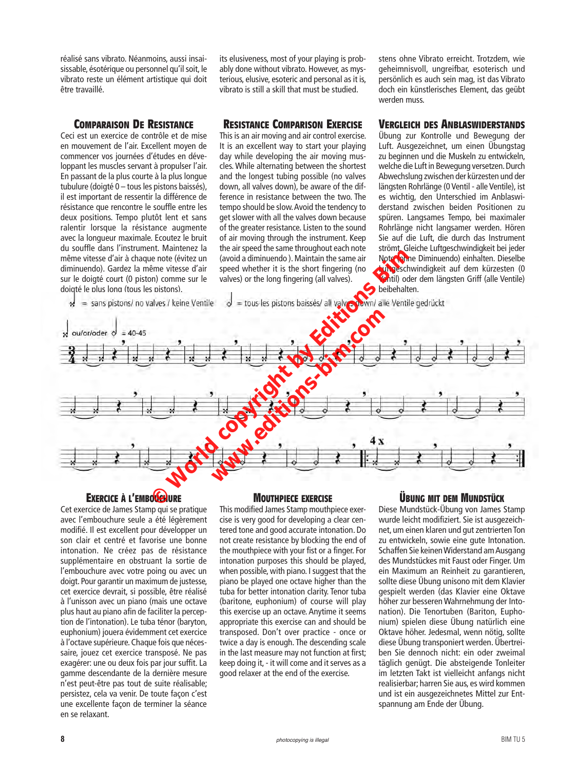réalisé sans vibrato. Néanmoins, aussi insaisissable, ésotérique ou personnel qu'il soit, le vibrato reste un élément artistique qui doit être travaillé.

#### **Comparaison De Resistance**

Ceci est un exercice de contrôle et de mise en mouvement de l'air. Excellent moyen de commencer vos journées d'études en développant les muscles servant à propulser l'air. En passant de la plus courte à la plus longue tubulure (doigté 0 – tous les pistons baissés), il est important de ressentir la différence de résistance que rencontre le souffle entre les deux positions. Tempo plutôt lent et sans ralentir lorsque la résistance augmente avec la longueur maximale. Ecoutez le bruit du souffle dans l'instrument. Maintenez la même vitesse d'air à chaque note (évitez un diminuendo). Gardez la même vitesse d'air sur le doigté court (0 piston) comme sur le doigté le plus long (tous les pistons).

its elusiveness, most of your playing is probably done without vibrato. However, as mysterious, elusive, esoteric and personal as it is, vibrato is still a skill that must be studied.

#### **Resistance Comparison Exercise**

This is an air moving and air control exercise. It is an excellent way to start your playing day while developing the air moving muscles. While alternating between the shortest and the longest tubing possible (no valves down, all valves down), be aware of the difference in resistance between the two. The tempo should be slow. Avoid the tendency to get slower with all the valves down because of the greater resistance. Listen to the sound of air moving through the instrument. Keep the air speed the same throughout each note (avoid a diminuendo ). Maintain the same air speed whether it is the short fingering (no valves) or the long fingering (all valves).

stens ohne Vibrato erreicht. Trotzdem, wie geheimnisvoll, ungreifbar, esoterisch und persönlich es auch sein mag, ist das Vibrato doch ein künstlerisches Element, das geübt werden muss.

#### **Vergleich des Anblaswiderstands**

Übung zur Kontrolle und Bewegung der Luft. Ausgezeichnet, um einen Übungstag zu beginnen und die Muskeln zu entwickeln, welche die Luft in Bewegung versetzen. Durch Abwechslung zwischen der kürzesten und der längsten Rohrlänge (0 Ventil - alle Ventile), ist es wichtig, den Unterschied im Anblaswiderstand zwischen beiden Positionen zu spüren. Langsames Tempo, bei maximaler Rohrlänge nicht langsamer werden. Hören Sie auf die Luft, die durch das Instrument strömt. Gleiche Luftgeschwindigkeit bei jeder Note (ohne Diminuendo) einhalten. Dieselbe Luftgeschwindigkeit auf dem kürzesten (0 Ventil) oder dem längsten Griff (alle Ventile)



#### **EXERCICE À L'EMBOUCHURE**

Cet exercice de James Stamp qui se pratique avec l'embouchure seule a été légèrement modifié. Il est excellent pour développer un son clair et centré et favorise une bonne intonation. Ne créez pas de résistance supplémentaire en obstruant la sortie de l'embouchure avec votre poing ou avec un doigt. Pour garantir un maximum de justesse, cet exercice devrait, si possible, être réalisé à l'unisson avec un piano (mais une octave plus haut au piano afin de faciliter la perception de l'intonation). Le tuba ténor (baryton, euphonium) jouera évidemment cet exercice à l'octave supérieure. Chaque fois que nécessaire, jouez cet exercice transposé. Ne pas exagérer: une ou deux fois par jour suffit. La gamme descendante de la dernière mesure n'est peut-être pas tout de suite réalisable; persistez, cela va venir. De toute façon c'est une excellente façon de terminer la séance en se relaxant.

#### **Mouthpiece exercise**

This modified James Stamp mouthpiece exercise is very good for developing a clear centered tone and good accurate intonation. Do not create resistance by blocking the end of the mouthpiece with your fist or a finger. For intonation purposes this should be played, when possible, with piano. I suggest that the piano be played one octave higher than the tuba for better intonation clarity. Tenor tuba (baritone, euphonium) of course will play this exercise up an octave. Anytime it seems appropriate this exercise can and should be transposed. Don't over practice - once or twice a day is enough. The descending scale in the last measure may not function at first; keep doing it, - it will come and it serves as a good relaxer at the end of the exercise.

#### **Übung mit dem Mundstück**

Diese Mundstück-Übung von James Stamp wurde leicht modifiziert. Sie ist ausgezeichnet, um einen klaren und gut zentrierten Ton zu entwickeln, sowie eine gute Intonation. Schaffen Sie keinen Widerstand am Ausgang des Mundstückes mit Faust oder Finger. Um ein Maximum an Reinheit zu garantieren, sollte diese Übung unisono mit dem Klavier gespielt werden (das Klavier eine Oktave höher zur besseren Wahrnehmung der Intonation). Die Tenortuben (Bariton, Euphonium) spielen diese Übung natürlich eine Oktave höher. Jedesmal, wenn nötig, sollte diese Übung transponiert werden. Übertreiben Sie dennoch nicht: ein oder zweimal täglich genügt. Die absteigende Tonleiter im letzten Takt ist vielleicht anfangs nicht realisierbar; harren Sie aus, es wird kommen und ist ein ausgezeichnetes Mittel zur Entspannung am Ende der Übung.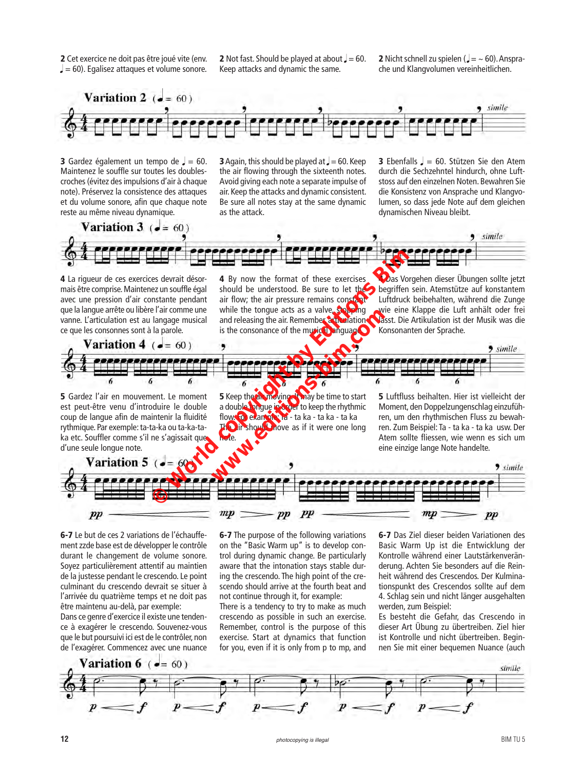2 Cet exercice ne doit pas être joué vite (env.  $= 60$ ). Egalisez attaques et volume sonore.

**2** Not fast. Should be played at about  $= 60$ . Keep attacks and dynamic the same.

**2** Nicht schnell zu spielen ( $=$   $\sim$  60). Ansprache und Klangvolumen vereinheitlichen.



**3** Gardez également un tempo de  $=$  60. Maintenez le souffle sur toutes les doublescroches (évitez des impulsions d'air à chaque note). Préservez la consistence des attaques et du volume sonore, afin que chaque note reste au même niveau dynamique.

**3** Again, this should be played at  $= 60$ . Keep the air flowing through the sixteenth notes. Avoid giving each note a separate impulse of air. Keep the attacks and dynamic consistent. Be sure all notes stay at the same dynamic as the attack.

**3** Ebenfalls  $\sqrt{ }$  = 60. Stützen Sie den Atem durch die Sechzehntel hindurch, ohne Luftstoss auf den einzelnen Noten. Bewahren Sie die Konsistenz von Ansprache und Klangvolumen, so dass jede Note auf dem gleichen dynamischen Niveau bleibt.



4 La rigueur de ces exercices devrait désormais être comprise. Maintenez un souffle égal avec une pression d'air constante pendant que la langue arrête ou libère l'air comme une vanne. L'articulation est au langage musical ce que les consonnes sont à la parole.

4 By now the format of these exercises should be understood. Be sure to let the begriffen sein. Atemstütze auf konstantem air flow; the air pressure remains constant while the tongue acts as a valve, stopping and releasing the air. Remember, articulation is the consonance of the musical language.

**Das Vorgehen dieser Übungen sollte jetzt** Luftdruck beibehalten, während die Zunge wie eine Klappe die Luft anhält oder frei lässt. Die Artikulation ist der Musik was die Konsonanten der Sprache.



5 Gardez l'air en mouvement. Le moment est peut-être venu d'introduire le double coup de langue afin de maintenir la fluidité rythmique. Par exemple: ta-ta-ka ou ta-ka-taka etc. Souffler comme s'il ne s'agissait que d'une seule longue note.

**5** Keep the air moving. It may be time to start a double tongue in order to keep the rhythmic flow. For example: Ta - ta ka - ta ka - ta ka The air should move as if it were one long note.

5 Luftfluss beihalten. Hier ist vielleicht der Moment, den Doppelzungenschlag einzuführen, um den rhythmischen Fluss zu bewahren. Zum Beispiel: Ta - ta ka - ta ka usw. Der Atem sollte fliessen, wie wenn es sich um eine einzige lange Note handelte.



6-7 Le but de ces 2 variations de l'échauffement zzde base est de développer le contrôle durant le changement de volume sonore. Soyez particulièrement attentif au maintien de la justesse pendant le crescendo. Le point culminant du crescendo devrait se situer à l'arrivée du quatrième temps et ne doit pas être maintenu au-delà, par exemple:

Dans ce genre d'exercice il existe une tendence à exagérer le crescendo. Souvenez-vous que le but poursuivi ici est de le contrôler, non de l'exagérer. Commencez avec une nuance 6-7 The purpose of the following variations on the "Basic Warm up" is to develop control during dynamic change. Be particularly aware that the intonation stays stable during the crescendo. The high point of the crescendo should arrive at the fourth beat and not continue through it, for example:

There is a tendency to try to make as much crescendo as possible in such an exercise. Remember, control is the purpose of this exercise. Start at dynamics that function for you, even if it is only from p to mp, and 6-7 Das Ziel dieser beiden Variationen des Basic Warm Up ist die Entwicklung der Kontrolle während einer Lautstärkenveränderung. Achten Sie besonders auf die Reinheit während des Crescendos. Der Kulminationspunkt des Crescendos sollte auf dem 4. Schlag sein und nicht länger ausgehalten werden, zum Beispiel:

Es besteht die Gefahr, das Crescendo in dieser Art Übung zu übertreiben. Ziel hier ist Kontrolle und nicht übertreiben. Beginnen Sie mit einer bequemen Nuance (auch

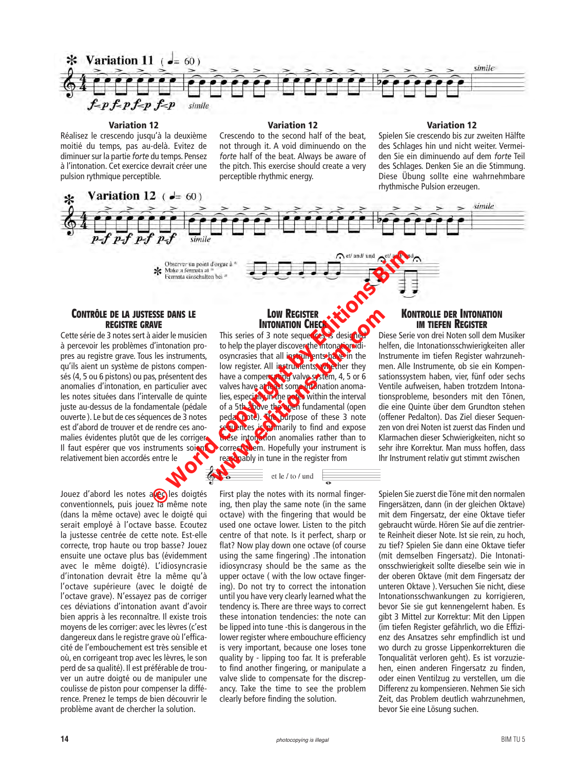

#### Variation 12

Réalisez le crescendo jusqu'à la deuxième moitié du temps, pas au-delà. Evitez de diminuer sur la partie *forte* du temps. Pensez à l'intonation. Cet exercice devrait créer une pulsion rythmique perceptible.

Crescendo to the second half of the beat, not through it. A void diminuendo on the *forte* half of the beat. Always be aware of the pitch. This exercise should create a very perceptible rhythmic energy.

Variation 12

#### Variation 12

Spielen Sie crescendo bis zur zweiten Hälfte des Schlages hin und nicht weiter. Vermeiden Sie ein diminuendo auf dem *forte* Teil des Schlages. Denken Sie an die Stimmung. Diese Übung sollte eine wahrnehmbare rhythmische Pulsion erzeugen.



#### **Contrôle de la justesse dans le registre grave**

Cette série de 3 notes sert à aider le musicien à percevoir les problèmes d'intonation propres au registre grave. Tous les instruments, qu'ils aient un système de pistons compensés (4, 5 ou 6 pistons) ou pas, présentent des anomalies d'intonation, en particulier avec les notes situées dans l'intervalle de quinte juste au-dessus de la fondamentale (pédale ouverte ). Le but de ces séquences de 3 notes est d'abord de trouver et de rendre ces anomalies évidentes plutôt que de les corriger. Il faut espérer que vos instruments soient correct them. Hopefully your instrument is relativement bien accordés entre le

Jouez d'abord les notes avec les doigtés conventionnels, puis jouez la même note (dans la même octave) avec le doigté qui serait employé à l'octave basse. Ecoutez la justesse centrée de cette note. Est-elle correcte, trop haute ou trop basse? Jouez ensuite une octave plus bas (évidemment avec le même doigté). L'idiosyncrasie d'intonation devrait être la même qu'à l'octave supérieure (avec le doigté de l'octave grave). N'essayez pas de corriger ces déviations d'intonation avant d'avoir bien appris à les reconnaître. Il existe trois moyens de les corriger: avec les lèvres (c'est dangereux dans le registre grave où l'efficacité de l'embouchement est très sensible et où, en corrigeant trop avec les lèvres, le son perd de sa qualité). Il est préférable de trouver un autre doigté ou de manipuler une coulisse de piston pour compenser la différence. Prenez le temps de bien découvrir le problème avant de chercher la solution.

#### **Low Register INTONATION C**

This series of 3 note sequer cess designed to help the player discover the intonation idiosyncrasies that all instruments have in the low register. All instruments, whether they have a compensating valve system, 4, 5 or 6 valves have at least some intonation anomalies, especially in the notes within the interval of a 5th above the open fundamental (open pedal note). The purpose of these 3 note sequences is primarily to find and expose these intonation anomalies rather than to reasonably in tune in the register from Observer on point d'organia a<br>
Se Make a fermaia aixemation biasement of the state of the state and the state of the state of the state of the state of the state of the state of the state of the state of the state of the **EXECUTER INTONATION CHECKS**<br>
This series of 3 note sequences is designed bit<br>
to help the player discovers the mitonationalism<br>
osyncrasies that all instruments, whether they<br>
have a compensating valve system, 4, 5 or 6<br>

First play the notes with its normal fingering, then play the same note (in the same octave) with the fingering that would be used one octave lower. Listen to the pitch centre of that note. Is it perfect, sharp or flat? Now play down one octave (of course using the same fingering) .The intonation idiosyncrasy should be the same as the upper octave ( with the low octave fingering). Do not try to correct the intonation until you have very clearly learned what the tendency is. There are three ways to correct these intonation tendencies: the note can be lipped into tune -this is dangerous in the lower register where embouchure efficiency is very important, because one loses tone quality by - lipping too far. It is preferable to find another fingering, or manipulate a valve slide to compensate for the discrepancy. Take the time to see the problem clearly before finding the solution.

#### **Kontrolle der Intonation im tiefen Register**

Diese Serie von drei Noten soll dem Musiker helfen, die Intonationsschwierigkeiten aller Instrumente im tiefen Register wahrzunehmen. Alle Instrumente, ob sie ein Kompensationssystem haben, vier, fünf oder sechs Ventile aufweisen, haben trotzdem Intonationsprobleme, besonders mit den Tönen, die eine Quinte über dem Grundton stehen (offener Pedalton). Das Ziel dieser Sequenzen von drei Noten ist zuerst das Finden und Klarmachen dieser Schwierigkeiten, nicht so sehr ihre Korrektur. Man muss hoffen, dass Ihr Instrument relativ gut stimmt zwischen

Spielen Sie zuerst die Töne mit den normalen Fingersätzen, dann (in der gleichen Oktave) mit dem Fingersatz, der eine Oktave tiefer gebraucht würde. Hören Sie auf die zentrierte Reinheit dieser Note. Ist sie rein, zu hoch, zu tief? Spielen Sie dann eine Oktave tiefer (mit demselben Fingersatz). Die Intonationsschwierigkeit sollte dieselbe sein wie in der oberen Oktave (mit dem Fingersatz der unteren Oktave ). Versuchen Sie nicht, diese Intonationsschwankungen zu korrigieren, bevor Sie sie gut kennengelernt haben. Es gibt 3 Mittel zur Korrektur: Mit den Lippen (im tiefen Register gefährlich, wo die Effizienz des Ansatzes sehr empfindlich ist und wo durch zu grosse Lippenkorrekturen die Tonqualität verloren geht). Es ist vorzuziehen, einen anderen Fingersatz zu finden, oder einen Ventilzug zu verstellen, um die Differenz zu kompensieren. Nehmen Sie sich Zeit, das Problem deutlich wahrzunehmen, bevor Sie eine Lösung suchen.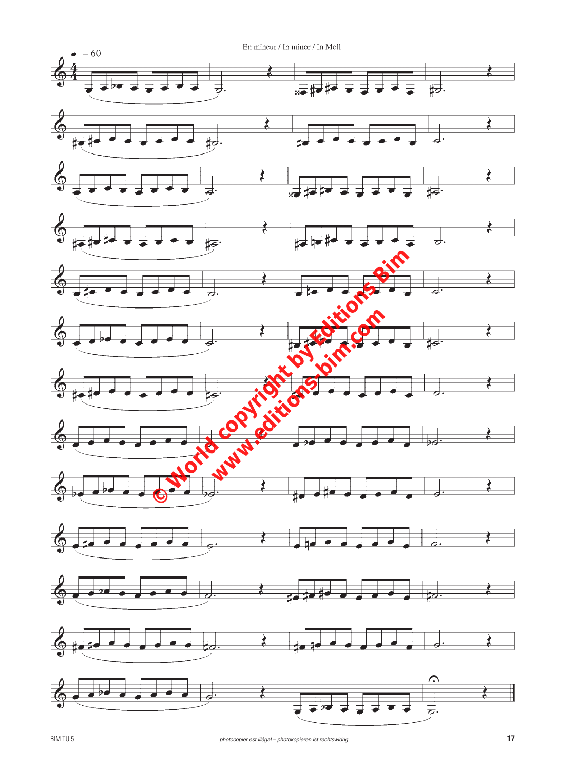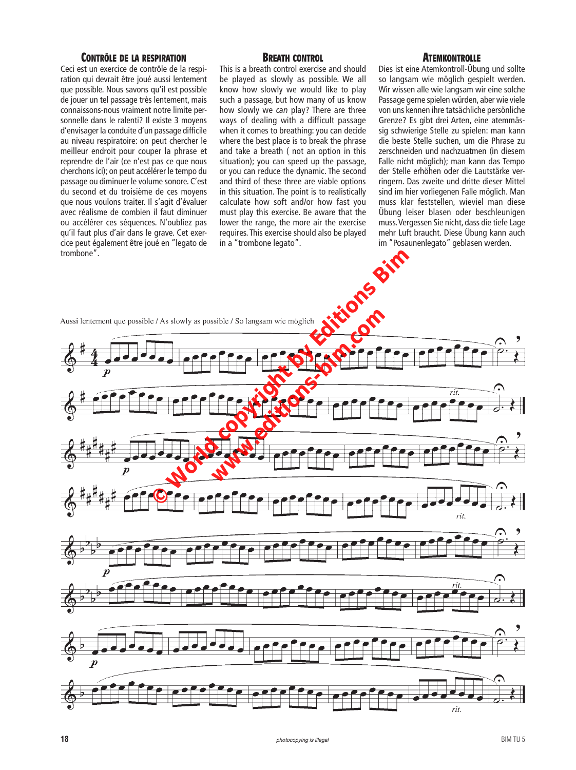#### **Contrôle de la respiration**

Ceci est un exercice de contrôle de la respiration qui devrait être joué aussi lentement que possible. Nous savons qu'il est possible de jouer un tel passage très lentement, mais connaissons-nous vraiment notre limite personnelle dans le ralenti? Il existe 3 moyens d'envisager la conduite d'un passage difficile au niveau respiratoire: on peut chercher le meilleur endroit pour couper la phrase et reprendre de l'air (ce n'est pas ce que nous cherchons ici); on peut accélérer le tempo du passage ou diminuer le volume sonore. C'est du second et du troisième de ces moyens que nous voulons traiter. Il s'agit d'évaluer avec réalisme de combien il faut diminuer ou accélérer ces séquences. N'oubliez pas qu'il faut plus d'air dans le grave. Cet exercice peut également être joué en "legato de trombone".

#### **Breath control**

This is a breath control exercise and should be played as slowly as possible. We all know how slowly we would like to play such a passage, but how many of us know how slowly we *can* play? There are three ways of dealing with a difficult passage when it comes to breathing: you can decide where the best place is to break the phrase and take a breath ( not an option in this situation); you can speed up the passage, or you can reduce the dynamic. The second and third of these three are viable options in this situation. The point is to realistically calculate how soft and/or how fast you must play this exercise. Be aware that the lower the range, the more air the exercise requires. This exercise should also be played in a "trombone legato".

#### **Atemkontrolle**

Dies ist eine Atemkontroll-Übung und sollte so langsam wie möglich gespielt werden. Wir wissen alle wie langsam wir eine solche Passage gerne spielen würden, aber wie viele von uns kennen ihre tatsächliche persönliche Grenze? Es gibt drei Arten, eine atemmässig schwierige Stelle zu spielen: man kann die beste Stelle suchen, um die Phrase zu zerschneiden und nachzuatmen (in diesem Falle nicht möglich); man kann das Tempo der Stelle erhöhen oder die Lautstärke verringern. Das zweite und dritte dieser Mittel sind im hier vorliegenen Falle möglich. Man muss klar feststellen, wieviel man diese Übung leiser blasen oder beschleunigen muss. Vergessen Sie nicht, dass die tiefe Lage mehr Luft braucht. Diese Übung kann auch im "Posaunenlegato" geblasen werden.

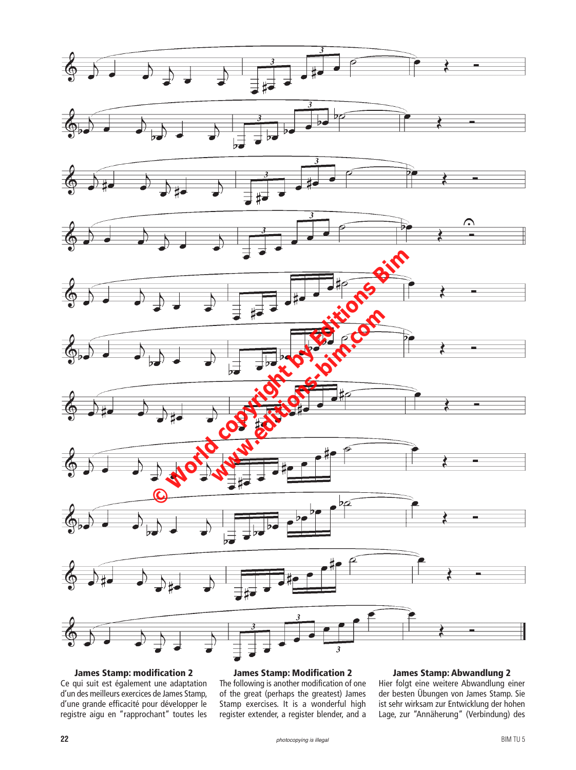

James Stamp: modification 2 Ce qui suit est également une adaptation d'un des meilleurs exercices de James Stamp, d'une grande efficacité pour développer le registre aigu en "rapprochant" toutes les

#### James Stamp: Modification 2

The following is another modification of one of the great (perhaps the greatest) James Stamp exercises. It is a wonderful high register extender, a register blender, and a

#### James Stamp: Abwandlung 2

Hier folgt eine weitere Abwandlung einer der besten Übungen von James Stamp. Sie ist sehr wirksam zur Entwicklung der hohen Lage, zur "Annäherung" (Verbindung) des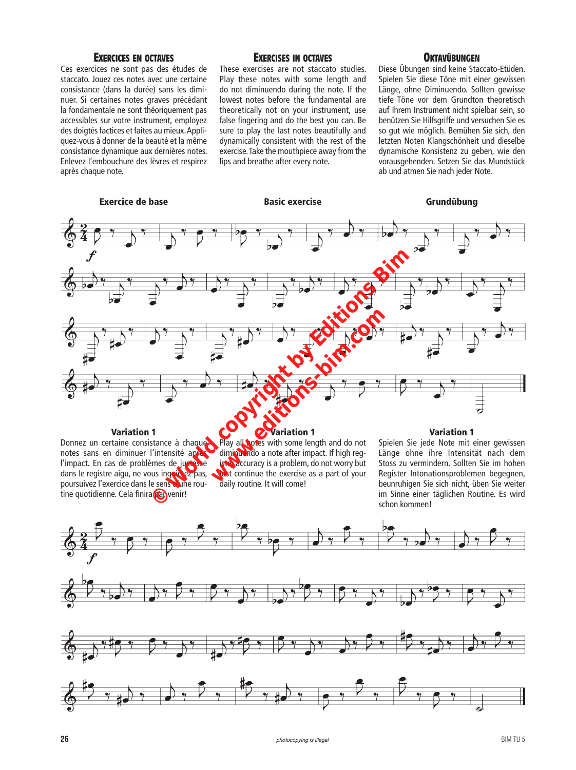#### **Exercices en octaves**

Ces exercices ne sont pas des études de staccato. Jouez ces notes avec une certaine consistance (dans la durée) sans les diminuer. Si certaines notes graves précédant la fondamentale ne sont théoriquement pas accessibles sur votre instrument, employez des doigtés factices et faites au mieux. Appliquez-vous à donner de la beauté et la même consistance dynamique aux dernières notes. Enlevez l'embouchure des lèvres et respirez après chaque note.

#### **Exercises in octaves**

These exercises are not staccato studies. Play these notes with some length and do not diminuendo during the note. If the lowest notes before the fundamental are theoretically not on your instrument, use false fingering and do the best you can. Be sure to play the last notes beautifully and dynamically consistent with the rest of the exercise. Take the mouthpiece away from the lips and breathe after every note.

#### **Oktavübungen**

Diese Übungen sind keine Staccato-Etüden. Spielen Sie diese Töne mit einer gewissen Länge, ohne Diminuendo. Sollten gewisse tiefe Töne vor dem Grundton theoretisch auf Ihrem Instrument nicht spielbar sein, so benützen Sie Hilfsgriffe und versuchen Sie es so gut wie möglich. Bemühen Sie sich, den letzten Noten Klangschönheit und dieselbe dynamische Konsistenz zu geben, wie den vorausgehenden. Setzen Sie das Mundstück ab und atmen Sie nach jeder Note.



#### Variation 1

#### Variation 1

Donnez un certaine consistance à chaque notes sans en diminuer l'intensité après l'impact. En cas de problèmes de just se dans le registre aigu, ne vous inquiétez pas, poursuivez l'exercice dans le sens d'une routine quotidienne. Cela finira **parts** venir! Play all notes with some length and do not diminuendo a note after impact. If high register accuracy is a problem, do not worry but just continue the exercise as a part of your daily routine. It will come!

### Variation 1

Spielen Sie jede Note mit einer gewissen Länge ohne ihre Intensität nach dem Stoss zu vermindern. Sollten Sie im hohen Register Intonationsproblemen begegnen, beunruhigen Sie sich nicht, üben Sie weiter im Sinne einer täglichen Routine. Es wird schon kommen!

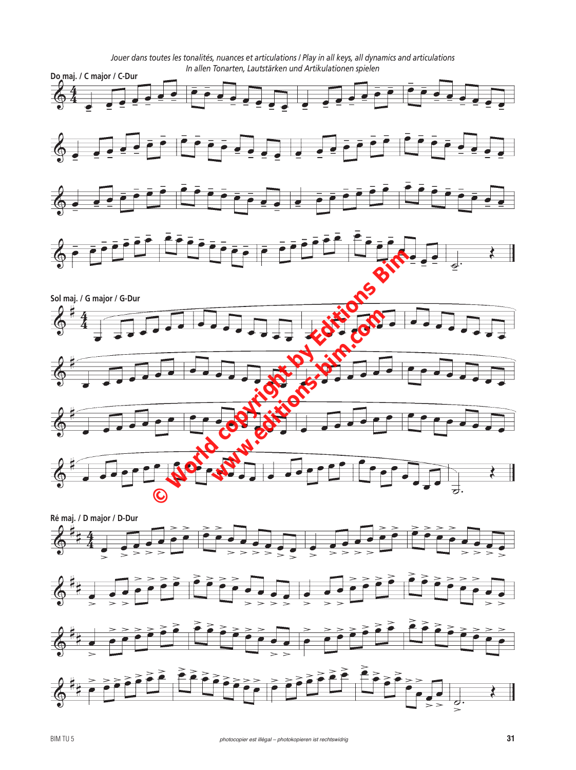*Jouer dans toutes les tonalités, nuances et articulations / Play in all keys, all dynamics and articulations In allen Tonarten, Lautstärken und Artikulationen spielen* **Do maj. / C major / C-Dur** 长  $\mathcal{A}$ ē 长 ÷  $\overline{\bullet}$  $\ddot{\circ}$  $\frac{1}{2}$  $C = \frac{1}{\sqrt{2}}$ **Sol maj. / G major / G-Dur With Communications** G 老 E ┇